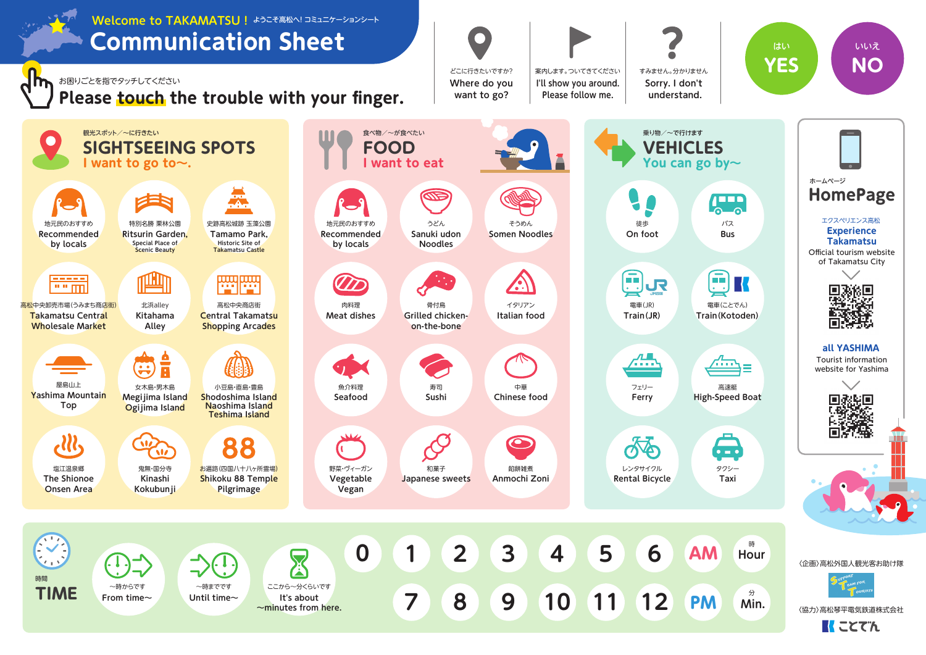